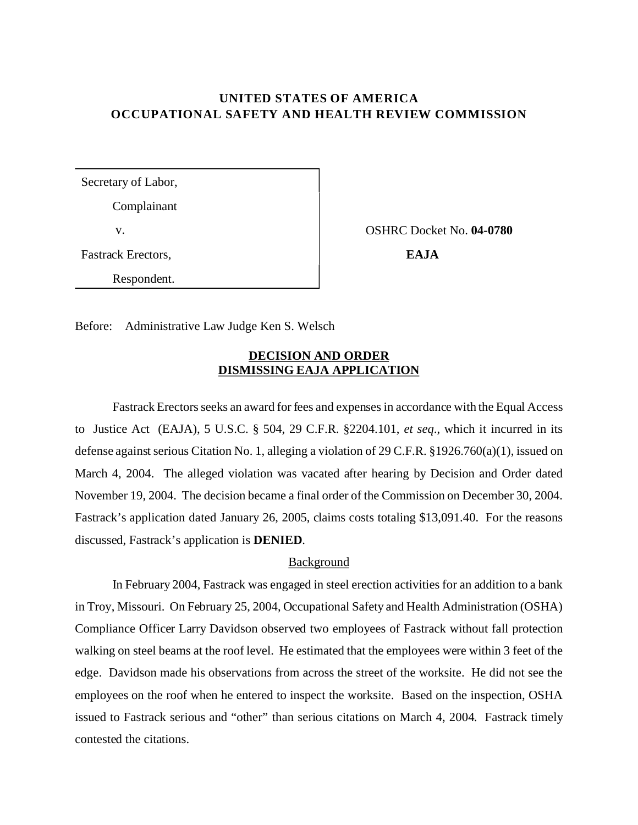# **UNITED STATES OF AMERICA OCCUPATIONAL SAFETY AND HEALTH REVIEW COMMISSION**

Secretary of Labor,

Complainant

v. OSHRC Docket No. **04-0780** 

Fastrack Erectors. **EAJA** 

Respondent.

Before: Administrative Law Judge Ken S. Welsch

## **DECISION AND ORDER DISMISSING EAJA APPLICATION**

Fastrack Erectors seeks an award for fees and expenses in accordance with the Equal Access to Justice Act (EAJA), 5 U.S.C. § 504, 29 C.F.R. §2204.101, *et seq*., which it incurred in its defense against serious Citation No. 1, alleging a violation of 29 C.F.R. §1926.760(a)(1), issued on March 4, 2004. The alleged violation was vacated after hearing by Decision and Order dated November 19, 2004. The decision became a final order of the Commission on December 30, 2004. Fastrack's application dated January 26, 2005, claims costs totaling \$13,091.40. For the reasons discussed, Fastrack's application is **DENIED**.

### Background

In February 2004, Fastrack was engaged in steel erection activities for an addition to a bank in Troy, Missouri. On February 25, 2004, Occupational Safety and Health Administration (OSHA) Compliance Officer Larry Davidson observed two employees of Fastrack without fall protection walking on steel beams at the roof level. He estimated that the employees were within 3 feet of the edge. Davidson made his observations from across the street of the worksite. He did not see the employees on the roof when he entered to inspect the worksite. Based on the inspection, OSHA issued to Fastrack serious and "other" than serious citations on March 4, 2004. Fastrack timely contested the citations.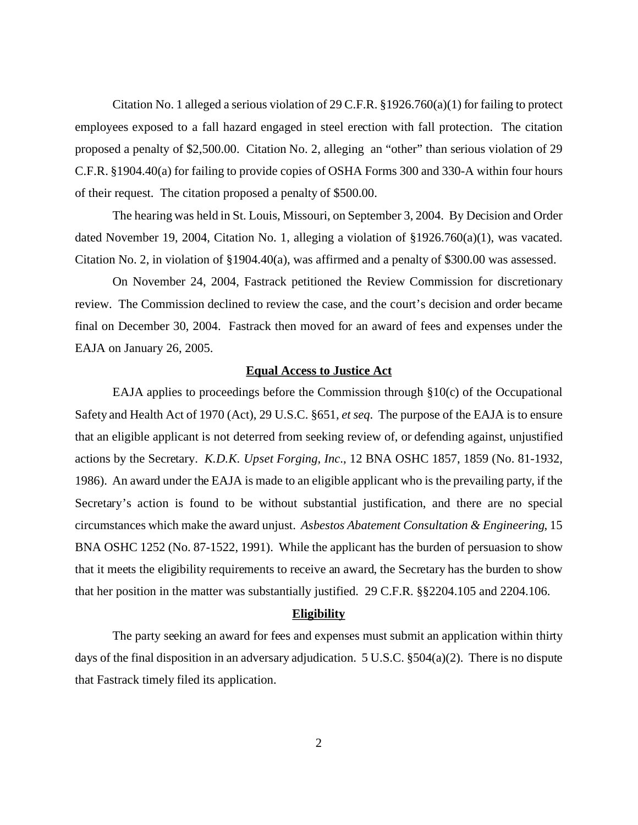Citation No. 1 alleged a serious violation of 29 C.F.R.  $\S 1926.760(a)(1)$  for failing to protect employees exposed to a fall hazard engaged in steel erection with fall protection. The citation proposed a penalty of \$2,500.00. Citation No. 2, alleging an "other" than serious violation of 29 C.F.R. §1904.40(a) for failing to provide copies of OSHA Forms 300 and 330-A within four hours of their request. The citation proposed a penalty of \$500.00.

The hearing was held in St. Louis, Missouri, on September 3, 2004. By Decision and Order dated November 19, 2004, Citation No. 1, alleging a violation of §1926.760(a)(1), was vacated. Citation No. 2, in violation of §1904.40(a), was affirmed and a penalty of \$300.00 was assessed.

On November 24, 2004, Fastrack petitioned the Review Commission for discretionary review. The Commission declined to review the case, and the court's decision and order became final on December 30, 2004. Fastrack then moved for an award of fees and expenses under the EAJA on January 26, 2005.

#### **Equal Access to Justice Act**

EAJA applies to proceedings before the Commission through §10(c) of the Occupational Safety and Health Act of 1970 (Act), 29 U.S.C. §651, *et seq*. The purpose of the EAJA is to ensure that an eligible applicant is not deterred from seeking review of, or defending against, unjustified actions by the Secretary. *K.D.K. Upset Forging, Inc*., 12 BNA OSHC 1857, 1859 (No. 81-1932, 1986). An award under the EAJA is made to an eligible applicant who is the prevailing party, if the Secretary's action is found to be without substantial justification, and there are no special circumstances which make the award unjust. *Asbestos Abatement Consultation & Engineering*, 15 BNA OSHC 1252 (No. 87-1522, 1991). While the applicant has the burden of persuasion to show that it meets the eligibility requirements to receive an award, the Secretary has the burden to show that her position in the matter was substantially justified. 29 C.F.R. §§2204.105 and 2204.106.

#### **Eligibility**

The party seeking an award for fees and expenses must submit an application within thirty days of the final disposition in an adversary adjudication. 5 U.S.C. §504(a)(2). There is no dispute that Fastrack timely filed its application.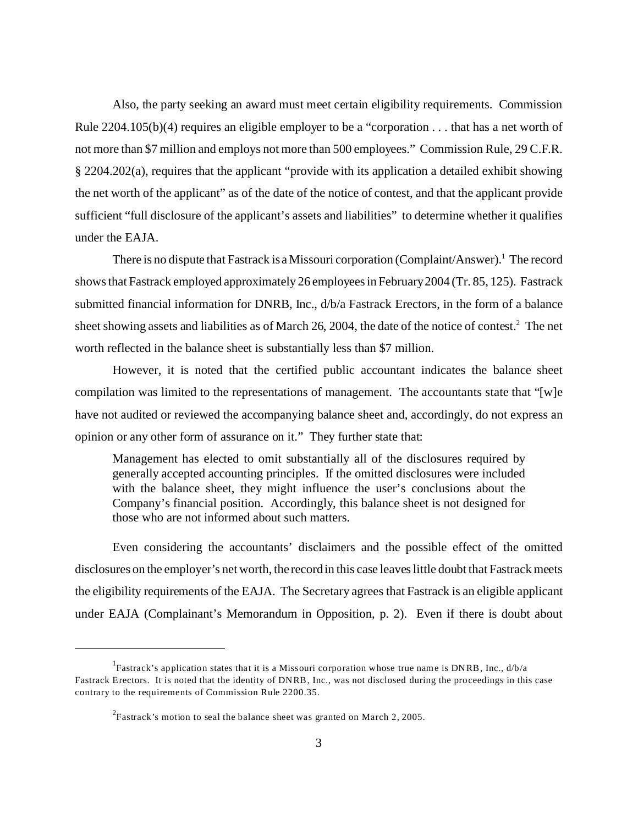Also, the party seeking an award must meet certain eligibility requirements. Commission Rule 2204.105(b)(4) requires an eligible employer to be a "corporation . . . that has a net worth of not more than \$7 million and employs not more than 500 employees." Commission Rule, 29 C.F.R. § 2204.202(a), requires that the applicant "provide with its application a detailed exhibit showing the net worth of the applicant" as of the date of the notice of contest, and that the applicant provide sufficient "full disclosure of the applicant's assets and liabilities" to determine whether it qualifies under the EAJA.

There is no dispute that Fastrack is a Missouri corporation (Complaint/Answer).<sup>1</sup> The record shows that Fastrack employed approximately 26 employees in February 2004 (Tr. 85, 125). Fastrack submitted financial information for DNRB, Inc., d/b/a Fastrack Erectors, in the form of a balance sheet showing assets and liabilities as of March 26, 2004, the date of the notice of contest.<sup>2</sup> The net worth reflected in the balance sheet is substantially less than \$7 million.

However, it is noted that the certified public accountant indicates the balance sheet compilation was limited to the representations of management. The accountants state that "[w]e have not audited or reviewed the accompanying balance sheet and, accordingly, do not express an opinion or any other form of assurance on it." They further state that:

Management has elected to omit substantially all of the disclosures required by generally accepted accounting principles. If the omitted disclosures were included with the balance sheet, they might influence the user's conclusions about the Company's financial position. Accordingly, this balance sheet is not designed for those who are not informed about such matters.

Even considering the accountants' disclaimers and the possible effect of the omitted disclosures on the employer's net worth, the record in this case leaves little doubt that Fastrack meets the eligibility requirements of the EAJA. The Secretary agrees that Fastrack is an eligible applicant under EAJA (Complainant's Memorandum in Opposition, p. 2). Even if there is doubt about

<sup>&</sup>lt;sup>1</sup>Fastrack's application states that it is a Missouri corporation whose true name is DNRB, Inc.,  $d/b/a$ Fastrack Erectors. It is noted that the identity of DNRB, Inc., was not disclosed during the proceedings in this case contrary to the requirements of Commission Rule 2200.35.

 $^{2}$ Fastrack's motion to seal the balance sheet was granted on March 2, 2005.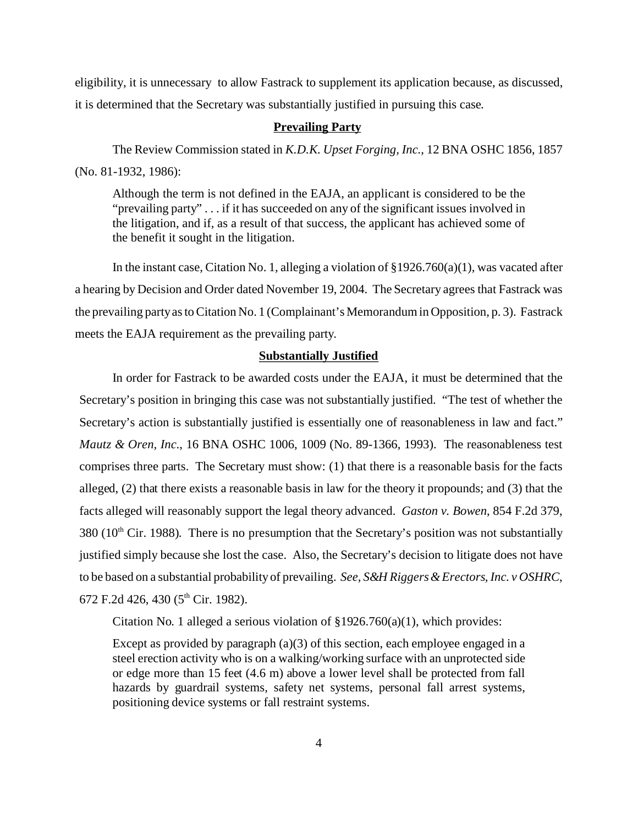eligibility, it is unnecessary to allow Fastrack to supplement its application because, as discussed, it is determined that the Secretary was substantially justified in pursuing this case.

### **Prevailing Party**

The Review Commission stated in *K.D.K. Upset Forging, Inc.*, 12 BNA OSHC 1856, 1857 (No. 81-1932, 1986):

Although the term is not defined in the EAJA, an applicant is considered to be the "prevailing party" . . . if it has succeeded on any of the significant issues involved in the litigation, and if, as a result of that success, the applicant has achieved some of the benefit it sought in the litigation.

In the instant case, Citation No. 1, alleging a violation of  $\S 1926.760(a)(1)$ , was vacated after a hearing by Decision and Order dated November 19, 2004. The Secretary agrees that Fastrack was the prevailing party as to Citation No. 1 (Complainant's Memorandum in Opposition, p. 3). Fastrack meets the EAJA requirement as the prevailing party.

#### **Substantially Justified**

In order for Fastrack to be awarded costs under the EAJA, it must be determined that the Secretary's position in bringing this case was not substantially justified. "The test of whether the Secretary's action is substantially justified is essentially one of reasonableness in law and fact." *Mautz & Oren, Inc*., 16 BNA OSHC 1006, 1009 (No. 89-1366, 1993). The reasonableness test comprises three parts. The Secretary must show: (1) that there is a reasonable basis for the facts alleged, (2) that there exists a reasonable basis in law for the theory it propounds; and (3) that the facts alleged will reasonably support the legal theory advanced. *Gaston v. Bowen*, 854 F.2d 379,  $380$  ( $10<sup>th</sup>$  Cir. 1988). There is no presumption that the Secretary's position was not substantially justified simply because she lost the case. Also, the Secretary's decision to litigate does not have to be based on a substantial probability of prevailing. *See, S&H Riggers & Erectors, Inc. v OSHRC*, 672 F.2d 426, 430 ( $5<sup>th</sup>$  Cir. 1982).

Citation No. 1 alleged a serious violation of  $\S 1926.760(a)(1)$ , which provides:

Except as provided by paragraph (a)(3) of this section, each employee engaged in a steel erection activity who is on a walking/working surface with an unprotected side or edge more than 15 feet (4.6 m) above a lower level shall be protected from fall hazards by guardrail systems, safety net systems, personal fall arrest systems, positioning device systems or fall restraint systems.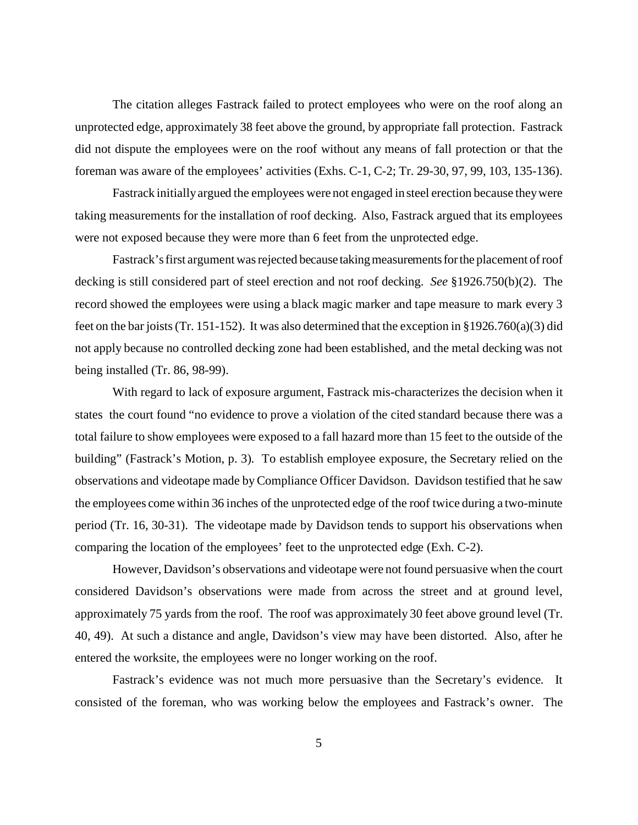The citation alleges Fastrack failed to protect employees who were on the roof along an unprotected edge, approximately 38 feet above the ground, by appropriate fall protection. Fastrack did not dispute the employees were on the roof without any means of fall protection or that the foreman was aware of the employees' activities (Exhs. C-1, C-2; Tr. 29-30, 97, 99, 103, 135-136).

Fastrack initially argued the employees were not engaged in steel erection because they were taking measurements for the installation of roof decking. Also, Fastrack argued that its employees were not exposed because they were more than 6 feet from the unprotected edge.

Fastrack's first argument was rejected because taking measurements for the placement of roof decking is still considered part of steel erection and not roof decking. *See* §1926.750(b)(2). The record showed the employees were using a black magic marker and tape measure to mark every 3 feet on the bar joists (Tr. 151-152). It was also determined that the exception in §1926.760(a)(3) did not apply because no controlled decking zone had been established, and the metal decking was not being installed (Tr. 86, 98-99).

With regard to lack of exposure argument, Fastrack mis-characterizes the decision when it states the court found "no evidence to prove a violation of the cited standard because there was a total failure to show employees were exposed to a fall hazard more than 15 feet to the outside of the building" (Fastrack's Motion, p. 3). To establish employee exposure, the Secretary relied on the observations and videotape made by Compliance Officer Davidson. Davidson testified that he saw the employees come within 36 inches of the unprotected edge of the roof twice during a two-minute period (Tr. 16, 30-31). The videotape made by Davidson tends to support his observations when comparing the location of the employees' feet to the unprotected edge (Exh. C-2).

However, Davidson's observations and videotape were not found persuasive when the court considered Davidson's observations were made from across the street and at ground level, approximately 75 yards from the roof. The roof was approximately 30 feet above ground level (Tr. 40, 49). At such a distance and angle, Davidson's view may have been distorted. Also, after he entered the worksite, the employees were no longer working on the roof.

Fastrack's evidence was not much more persuasive than the Secretary's evidence. It consisted of the foreman, who was working below the employees and Fastrack's owner. The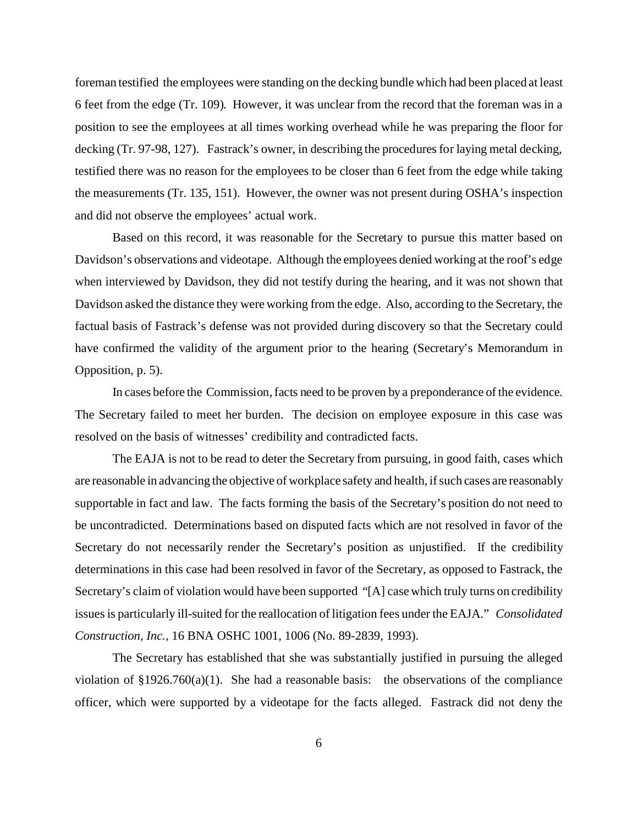foreman testified the employees were standing on the decking bundle which had been placed at least 6 feet from the edge (Tr. 109). However, it was unclear from the record that the foreman was in a position to see the employees at all times working overhead while he was preparing the floor for decking (Tr. 97-98, 127). Fastrack's owner, in describing the procedures for laying metal decking, testified there was no reason for the employees to be closer than 6 feet from the edge while taking the measurements (Tr. 135, 151). However, the owner was not present during OSHA's inspection and did not observe the employees' actual work.

Based on this record, it was reasonable for the Secretary to pursue this matter based on Davidson's observations and videotape. Although the employees denied working at the roof's edge when interviewed by Davidson, they did not testify during the hearing, and it was not shown that Davidson asked the distance they were working from the edge. Also, according to the Secretary, the factual basis of Fastrack's defense was not provided during discovery so that the Secretary could have confirmed the validity of the argument prior to the hearing (Secretary's Memorandum in Opposition, p. 5).

In cases before the Commission, facts need to be proven by a preponderance of the evidence. The Secretary failed to meet her burden. The decision on employee exposure in this case was resolved on the basis of witnesses' credibility and contradicted facts.

The EAJA is not to be read to deter the Secretary from pursuing, in good faith, cases which are reasonable in advancing the objective of workplace safety and health, if such cases are reasonably supportable in fact and law. The facts forming the basis of the Secretary's position do not need to be uncontradicted. Determinations based on disputed facts which are not resolved in favor of the Secretary do not necessarily render the Secretary's position as unjustified. If the credibility determinations in this case had been resolved in favor of the Secretary, as opposed to Fastrack, the Secretary's claim of violation would have been supported "[A] case which truly turns on credibility issues is particularly ill-suited for the reallocation of litigation fees under the EAJA." *Consolidated Construction, Inc.,* 16 BNA OSHC 1001, 1006 (No. 89-2839, 1993).

The Secretary has established that she was substantially justified in pursuing the alleged violation of  $\S 1926.760(a)(1)$ . She had a reasonable basis: the observations of the compliance officer, which were supported by a videotape for the facts alleged. Fastrack did not deny the